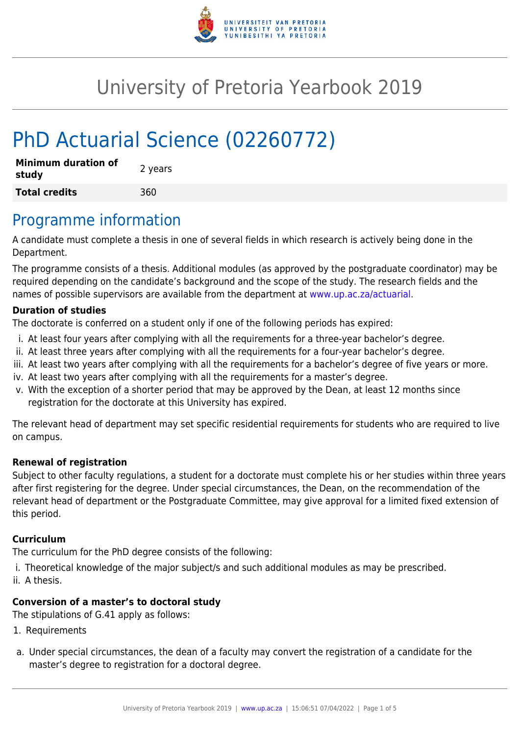

# University of Pretoria Yearbook 2019

# PhD Actuarial Science (02260772)

| <b>Minimum duration of</b><br>study | 2 years |
|-------------------------------------|---------|
| <b>Total credits</b>                | 360     |

### Programme information

A candidate must complete a thesis in one of several fields in which research is actively being done in the Department.

The programme consists of a thesis. Additional modules (as approved by the postgraduate coordinator) may be required depending on the candidate's background and the scope of the study. The research fields and the names of possible supervisors are available from the department at [www.up.ac.za/actuarial](http://www.up.ac.za/actuarial).

#### **Duration of studies**

The doctorate is conferred on a student only if one of the following periods has expired:

- i. At least four years after complying with all the requirements for a three-year bachelor's degree.
- ii. At least three years after complying with all the requirements for a four-year bachelor's degree.
- iii. At least two years after complying with all the requirements for a bachelor's degree of five years or more.
- iv. At least two years after complying with all the requirements for a master's degree.
- v. With the exception of a shorter period that may be approved by the Dean, at least 12 months since registration for the doctorate at this University has expired.

The relevant head of department may set specific residential requirements for students who are required to live on campus.

#### **Renewal of registration**

Subject to other faculty regulations, a student for a doctorate must complete his or her studies within three years after first registering for the degree. Under special circumstances, the Dean, on the recommendation of the relevant head of department or the Postgraduate Committee, may give approval for a limited fixed extension of this period.

#### **Curriculum**

The curriculum for the PhD degree consists of the following:

- i. Theoretical knowledge of the major subject/s and such additional modules as may be prescribed.
- ii. A thesis.

#### **Conversion of a master's to doctoral study**

The stipulations of G.41 apply as follows:

- 1. Requirements
- a. Under special circumstances, the dean of a faculty may convert the registration of a candidate for the master's degree to registration for a doctoral degree.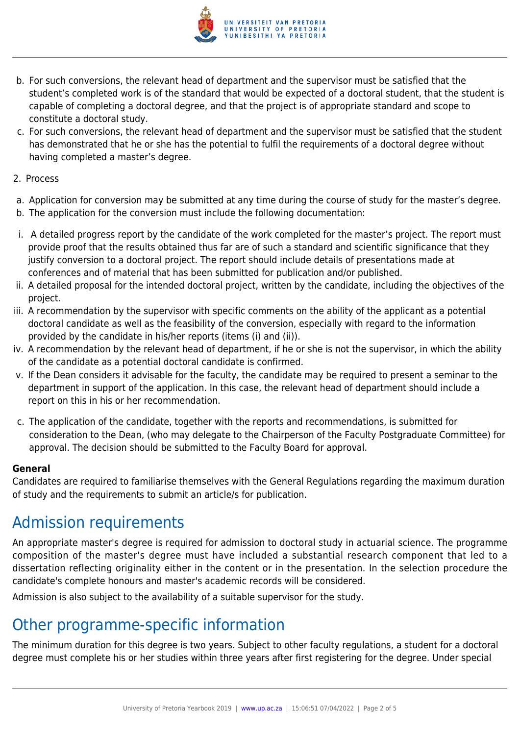

- b. For such conversions, the relevant head of department and the supervisor must be satisfied that the student's completed work is of the standard that would be expected of a doctoral student, that the student is capable of completing a doctoral degree, and that the project is of appropriate standard and scope to constitute a doctoral study.
- c. For such conversions, the relevant head of department and the supervisor must be satisfied that the student has demonstrated that he or she has the potential to fulfil the requirements of a doctoral degree without having completed a master's degree.
- 2. Process
- a. Application for conversion may be submitted at any time during the course of study for the master's degree.
- b. The application for the conversion must include the following documentation:
- i. A detailed progress report by the candidate of the work completed for the master's project. The report must provide proof that the results obtained thus far are of such a standard and scientific significance that they justify conversion to a doctoral project. The report should include details of presentations made at conferences and of material that has been submitted for publication and/or published.
- ii. A detailed proposal for the intended doctoral project, written by the candidate, including the objectives of the project.
- iii. A recommendation by the supervisor with specific comments on the ability of the applicant as a potential doctoral candidate as well as the feasibility of the conversion, especially with regard to the information provided by the candidate in his/her reports (items (i) and (ii)).
- iv. A recommendation by the relevant head of department, if he or she is not the supervisor, in which the ability of the candidate as a potential doctoral candidate is confirmed.
- v. If the Dean considers it advisable for the faculty, the candidate may be required to present a seminar to the department in support of the application. In this case, the relevant head of department should include a report on this in his or her recommendation.
- c. The application of the candidate, together with the reports and recommendations, is submitted for consideration to the Dean, (who may delegate to the Chairperson of the Faculty Postgraduate Committee) for approval. The decision should be submitted to the Faculty Board for approval.

#### **General**

Candidates are required to familiarise themselves with the General Regulations regarding the maximum duration of study and the requirements to submit an article/s for publication.

## Admission requirements

An appropriate master's degree is required for admission to doctoral study in actuarial science. The programme composition of the master's degree must have included a substantial research component that led to a dissertation reflecting originality either in the content or in the presentation. In the selection procedure the candidate's complete honours and master's academic records will be considered.

Admission is also subject to the availability of a suitable supervisor for the study.

### Other programme-specific information

The minimum duration for this degree is two years. Subject to other faculty regulations, a student for a doctoral degree must complete his or her studies within three years after first registering for the degree. Under special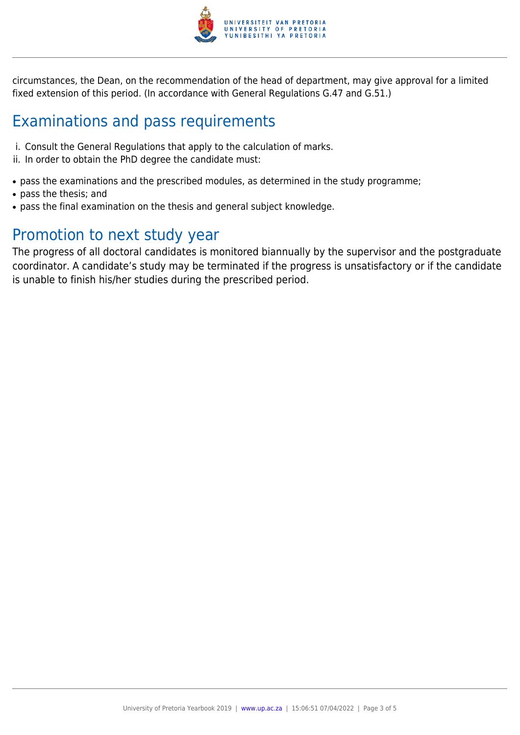

circumstances, the Dean, on the recommendation of the head of department, may give approval for a limited fixed extension of this period. (In accordance with General Regulations G.47 and G.51.)

## Examinations and pass requirements

- i. Consult the General Regulations that apply to the calculation of marks.
- ii. In order to obtain the PhD degree the candidate must:
- pass the examinations and the prescribed modules, as determined in the study programme;
- pass the thesis; and
- pass the final examination on the thesis and general subject knowledge.

### Promotion to next study year

The progress of all doctoral candidates is monitored biannually by the supervisor and the postgraduate coordinator. A candidate's study may be terminated if the progress is unsatisfactory or if the candidate is unable to finish his/her studies during the prescribed period.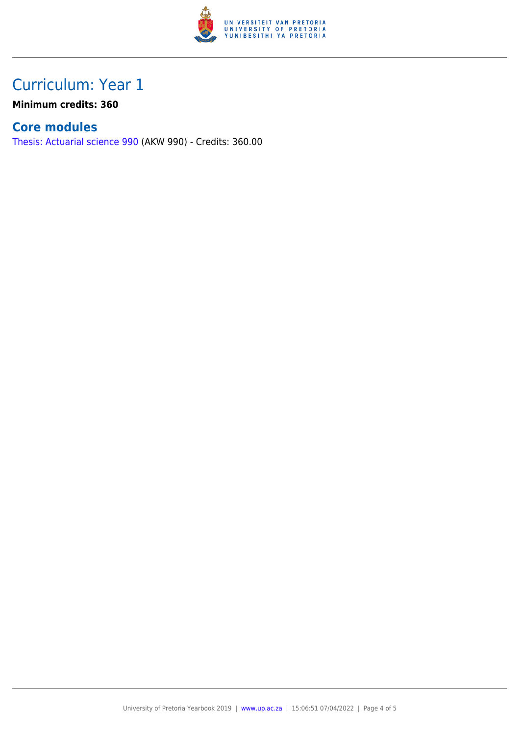

## Curriculum: Year 1

**Minimum credits: 360**

#### **Core modules**

[Thesis: Actuarial science 990](https://www.up.ac.za/yearbooks/2019/modules/view/AKW 990) (AKW 990) - Credits: 360.00